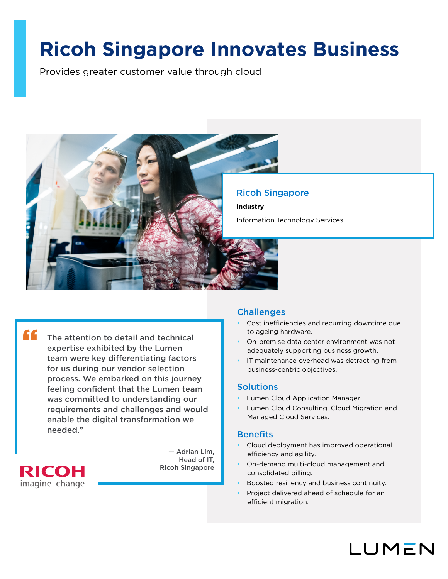# **Ricoh Singapore Innovates Business**

Provides greater customer value through cloud



Ricoh Singapore

Information Technology Services

"

The attention to detail and technical expertise exhibited by the Lumen team were key differentiating factors for us during our vendor selection process. We embarked on this journey feeling confident that the Lumen team was committed to understanding our requirements and challenges and would enable the digital transformation we needed."



— Adrian Lim, Head of IT, Ricoh Singapore

### **Challenges**

- Cost inefficiencies and recurring downtime due to ageing hardware.
- On-premise data center environment was not adequately supporting business growth.
- IT maintenance overhead was detracting from business-centric objectives.

### **Solutions**

- Lumen Cloud Application Manager
- Lumen Cloud Consulting, Cloud Migration and Managed Cloud Services.

### **Benefits**

- Cloud deployment has improved operational efficiency and agility.
- On-demand multi-cloud management and consolidated billing.
- Boosted resiliency and business continuity.
- Project delivered ahead of schedule for an efficient migration.

LUMEN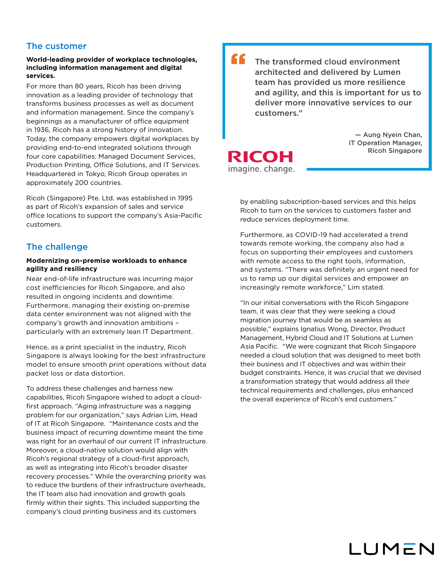### The customer

### **World-leading provider of workplace technologies, including information management and digital services.**

For more than 80 years, Ricoh has been driving innovation as a leading provider of technology that transforms business processes as well as document and information management. Since the company's beginnings as a manufacturer of office equipment in 1936, Ricoh has a strong history of innovation. Today, the company empowers digital workplaces by providing end-to-end integrated solutions through four core capabilities: Managed Document Services, Production Printing, Office Solutions, and IT Services. Headquartered in Tokyo, Ricoh Group operates in approximately 200 countries.

Ricoh (Singapore) Pte. Ltd. was established in 1995 as part of Ricoh's expansion of sales and service office locations to support the company's Asia-Pacific customers.

### The challenge

### **Modernizing on-premise workloads to enhance agility and resiliency**

Near end-of-life infrastructure was incurring major cost inefficiencies for Ricoh Singapore, and also resulted in ongoing incidents and downtime. Furthermore, managing their existing on-premise data center environment was not aligned with the company's growth and innovation ambitions – particularly with an extremely lean IT Department.

Hence, as a print specialist in the industry, Ricoh Singapore is always looking for the best infrastructure model to ensure smooth print operations without data packet loss or data distortion.

To address these challenges and harness new capabilities, Ricoh Singapore wished to adopt a cloudfirst approach. "Aging infrastructure was a nagging problem for our organization," says Adrian Lim, Head of IT at Ricoh Singapore. "Maintenance costs and the business impact of recurring downtime meant the time was right for an overhaul of our current IT infrastructure. Moreover, a cloud-native solution would align with Ricoh's regional strategy of a cloud-first approach, as well as integrating into Ricoh's broader disaster recovery processes." While the overarching priority was to reduce the burdens of their infrastructure overheads, the IT team also had innovation and growth goals firmly within their sights. This included supporting the company's cloud printing business and its customers

The transformed cloud environment architected and delivered by Lumen team has provided us more resilience and agility, and this is important for us to deliver more innovative services to our customers." "

> — Aung Nyein Chan, IT Operation Manager, Ricoh Singapore

**RICOH** imagine. change.

> by enabling subscription-based services and this helps Ricoh to turn on the services to customers faster and reduce services deployment time.

Furthermore, as COVID-19 had accelerated a trend towards remote working, the company also had a focus on supporting their employees and customers with remote access to the right tools, information, and systems. "There was definitely an urgent need for us to ramp up our digital services and empower an increasingly remote workforce," Lim stated.

"In our initial conversations with the Ricoh Singapore team, it was clear that they were seeking a cloud migration journey that would be as seamless as possible," explains Ignatius Wong, Director, Product Management, Hybrid Cloud and IT Solutions at Lumen Asia Pacific. "We were cognizant that Ricoh Singapore needed a cloud solution that was designed to meet both their business and IT objectives and was within their budget constraints. Hence, it was crucial that we devised a transformation strategy that would address all their technical requirements and challenges, plus enhanced the overall experience of Ricoh's end customers."

## LUMEN